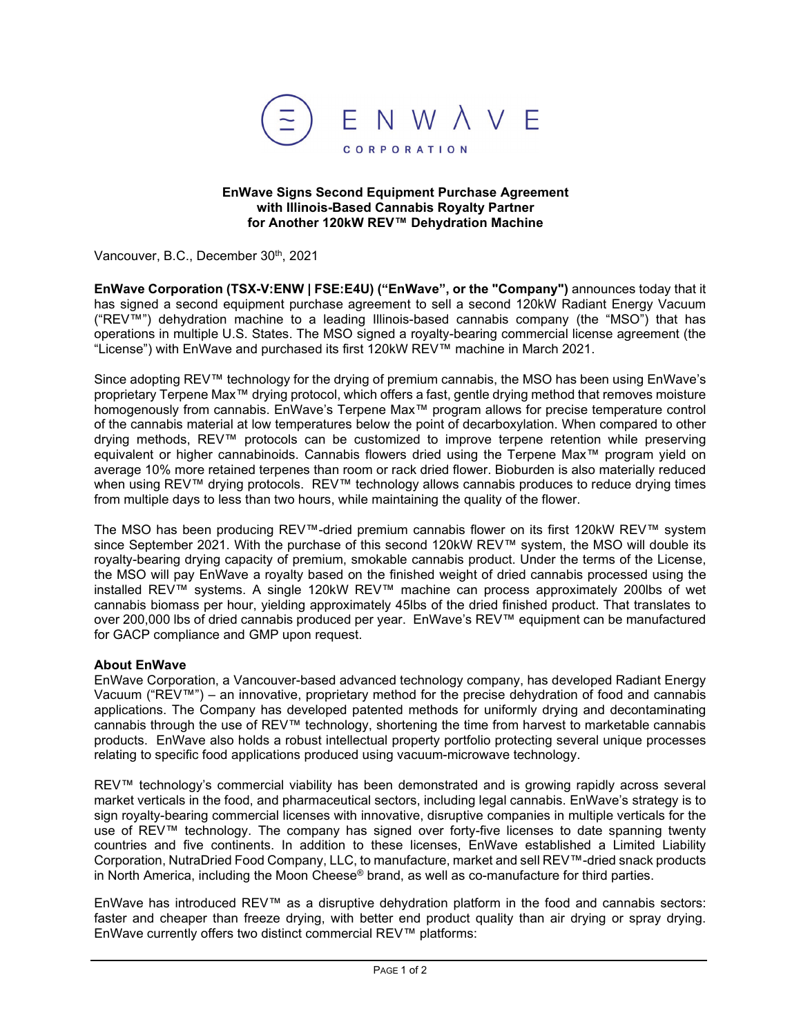

## **EnWave Signs Second Equipment Purchase Agreement with Illinois-Based Cannabis Royalty Partner for Another 120kW REV™ Dehydration Machine**

Vancouver, B.C., December 30th, 2021

**EnWave Corporation (TSX-V:ENW | FSE:E4U) ("EnWave", or the "Company")** announces today that it has signed a second equipment purchase agreement to sell a second 120kW Radiant Energy Vacuum ("REV<sup>™"</sup>) dehydration machine to a leading Illinois-based cannabis company (the "MSO") that has operations in multiple U.S. States. The MSO signed a royalty-bearing commercial license agreement (the "License") with EnWave and purchased its first 120kW REV™ machine in March 2021.

Since adopting REV™ technology for the drying of premium cannabis, the MSO has been using EnWave's proprietary Terpene Max™ drying protocol, which offers a fast, gentle drying method that removes moisture homogenously from cannabis. EnWave's Terpene Max™ program allows for precise temperature control of the cannabis material at low temperatures below the point of decarboxylation. When compared to other drying methods, REV™ protocols can be customized to improve terpene retention while preserving equivalent or higher cannabinoids. Cannabis flowers dried using the Terpene Max™ program yield on average 10% more retained terpenes than room or rack dried flower. Bioburden is also materially reduced when using REV™ drying protocols. REV™ technology allows cannabis produces to reduce drying times from multiple days to less than two hours, while maintaining the quality of the flower.

The MSO has been producing REV™-dried premium cannabis flower on its first 120kW REV™ system since September 2021. With the purchase of this second 120kW REV™ system, the MSO will double its royalty-bearing drying capacity of premium, smokable cannabis product. Under the terms of the License, the MSO will pay EnWave a royalty based on the finished weight of dried cannabis processed using the installed REV™ systems. A single 120kW REV™ machine can process approximately 200lbs of wet cannabis biomass per hour, yielding approximately 45lbs of the dried finished product. That translates to over 200,000 lbs of dried cannabis produced per year. EnWave's REV™ equipment can be manufactured for GACP compliance and GMP upon request.

## **About EnWave**

EnWave Corporation, a Vancouver-based advanced technology company, has developed Radiant Energy Vacuum ("REV™") – an innovative, proprietary method for the precise dehydration of food and cannabis applications. The Company has developed patented methods for uniformly drying and decontaminating cannabis through the use of REV™ technology, shortening the time from harvest to marketable cannabis products. EnWave also holds a robust intellectual property portfolio protecting several unique processes relating to specific food applications produced using vacuum-microwave technology.

REV™ technology's commercial viability has been demonstrated and is growing rapidly across several market verticals in the food, and pharmaceutical sectors, including legal cannabis. EnWave's strategy is to sign royalty-bearing commercial licenses with innovative, disruptive companies in multiple verticals for the use of REV™ technology. The company has signed over forty-five licenses to date spanning twenty countries and five continents. In addition to these licenses, EnWave established a Limited Liability Corporation, NutraDried Food Company, LLC, to manufacture, market and sell REV™-dried snack products in North America, including the Moon Cheese<sup>®</sup> brand, as well as co-manufacture for third parties.

EnWave has introduced REV™ as a disruptive dehydration platform in the food and cannabis sectors: faster and cheaper than freeze drying, with better end product quality than air drying or spray drying. EnWave currently offers two distinct commercial REV™ platforms: